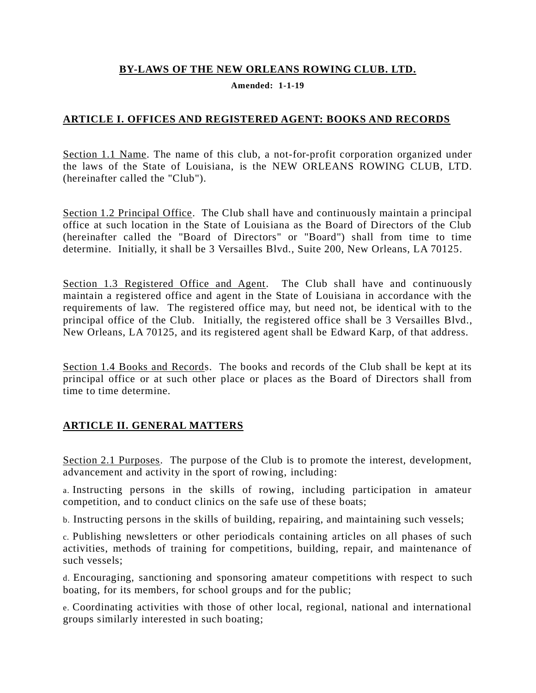### **BY-LAWS OF THE NEW ORLEANS ROWING CLUB. LTD.**

**Amended: 1-1-19**

### **ARTICLE I. OFFICES AND REGISTERED AGENT: BOOKS AND RECORDS**

Section 1.1 Name. The name of this club, a not-for-profit corporation organized under the laws of the State of Louisiana, is the NEW ORLEANS ROWING CLUB, LTD. (hereinafter called the "Club").

Section 1.2 Principal Office. The Club shall have and continuously maintain a principal office at such location in the State of Louisiana as the Board of Directors of the Club (hereinafter called the "Board of Directors" or "Board") shall from time to time determine. Initially, it shall be 3 Versailles Blvd., Suite 200, New Orleans, LA 70125.

Section 1.3 Registered Office and Agent. The Club shall have and continuously maintain a registered office and agent in the State of Louisiana in accordance with the requirements of law. The registered office may, but need not, be identical with to the principal office of the Club. Initially, the registered office shall be 3 Versailles Blvd., New Orleans, LA 70125, and its registered agent shall be Edward Karp, of that address.

Section 1.4 Books and Records. The books and records of the Club shall be kept at its principal office or at such other place or places as the Board of Directors shall from time to time determine.

# **ARTICLE II. GENERAL MATTERS**

Section 2.1 Purposes. The purpose of the Club is to promote the interest, development, advancement and activity in the sport of rowing, including:

a. Instructing persons in the skills of rowing, including participation in amateur competition, and to conduct clinics on the safe use of these boats;

b. Instructing persons in the skills of building, repairing, and maintaining such vessels;

c. Publishing newsletters or other periodicals containing articles on all phases of such activities, methods of training for competitions, building, repair, and maintenance of such vessels;

d. Encouraging, sanctioning and sponsoring amateur competitions with respect to such boating, for its members, for school groups and for the public;

e. Coordinating activities with those of other local, regional, national and international groups similarly interested in such boating;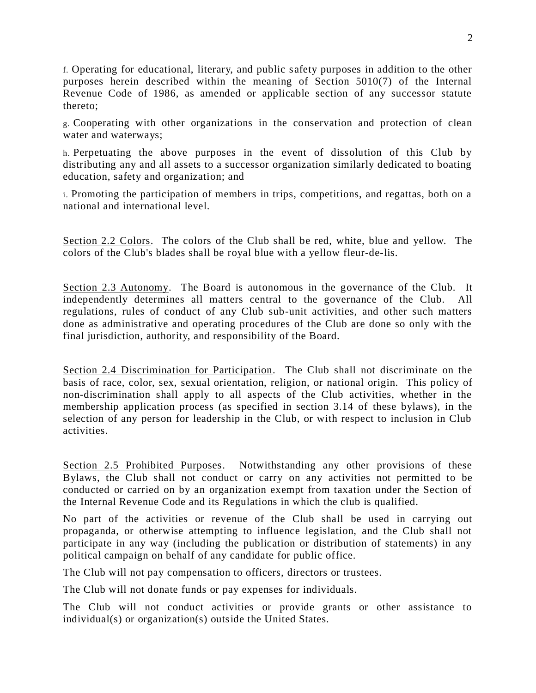f. Operating for educational, literary, and public safety purposes in addition to the other purposes herein described within the meaning of Section 5010(7) of the Internal Revenue Code of 1986, as amended or applicable section of any successor statute thereto;

g. Cooperating with other organizations in the conservation and protection of clean water and waterways;

h. Perpetuating the above purposes in the event of dissolution of this Club by distributing any and all assets to a successor organization similarly dedicated to boating education, safety and organization; and

i. Promoting the participation of members in trips, competitions, and regattas, both on a national and international level.

Section 2.2 Colors. The colors of the Club shall be red, white, blue and yellow. The colors of the Club's blades shall be royal blue with a yellow fleur-de-lis.

Section 2.3 Autonomy. The Board is autonomous in the governance of the Club. It independently determines all matters central to the governance of the Club. All regulations, rules of conduct of any Club sub-unit activities, and other such matters done as administrative and operating procedures of the Club are done so only with the final jurisdiction, authority, and responsibility of the Board.

Section 2.4 Discrimination for Participation. The Club shall not discriminate on the basis of race, color, sex, sexual orientation, religion, or national origin. This policy of non-discrimination shall apply to all aspects of the Club activities, whether in the membership application process (as specified in section 3.14 of these bylaws), in the selection of any person for leadership in the Club, or with respect to inclusion in Club activities.

Section 2.5 Prohibited Purposes. Notwithstanding any other provisions of these Bylaws, the Club shall not conduct or carry on any activities not permitted to be conducted or carried on by an organization exempt from taxation under the Section of the Internal Revenue Code and its Regulations in which the club is qualified.

No part of the activities or revenue of the Club shall be used in carrying out propaganda, or otherwise attempting to influence legislation, and the Club shall not participate in any way (including the publication or distribution of statements) in any political campaign on behalf of any candidate for public office.

The Club will not pay compensation to officers, directors or trustees.

The Club will not donate funds or pay expenses for individuals.

The Club will not conduct activities or provide grants or other assistance to individual(s) or organization(s) outside the United States.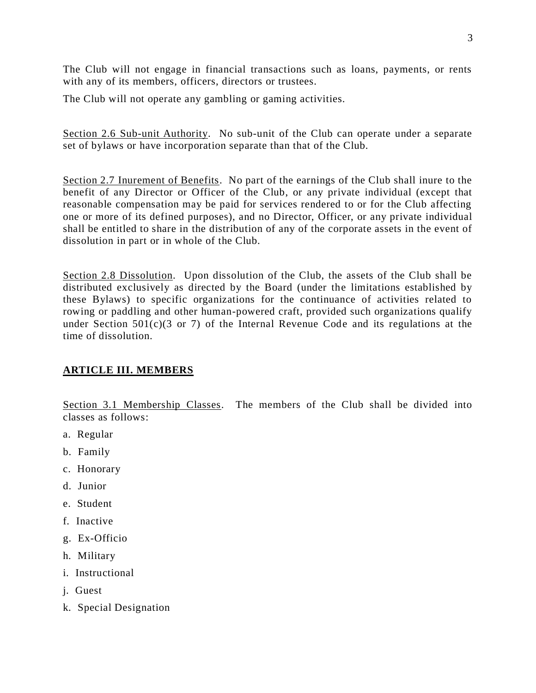The Club will not engage in financial transactions such as loans, payments, or rents with any of its members, officers, directors or trustees.

The Club will not operate any gambling or gaming activities.

Section 2.6 Sub-unit Authority. No sub-unit of the Club can operate under a separate set of bylaws or have incorporation separate than that of the Club.

Section 2.7 Inurement of Benefits. No part of the earnings of the Club shall inure to the benefit of any Director or Officer of the Club, or any private individual (except that reasonable compensation may be paid for services rendered to or for the Club affecting one or more of its defined purposes), and no Director, Officer, or any private individual shall be entitled to share in the distribution of any of the corporate assets in the event of dissolution in part or in whole of the Club.

Section 2.8 Dissolution. Upon dissolution of the Club, the assets of the Club shall be distributed exclusively as directed by the Board (under the limitations established by these Bylaws) to specific organizations for the continuance of activities related to rowing or paddling and other human-powered craft, provided such organizations qualify under Section  $501(c)(3 \text{ or } 7)$  of the Internal Revenue Code and its regulations at the time of dissolution.

# **ARTICLE III. MEMBERS**

Section 3.1 Membership Classes. The members of the Club shall be divided into classes as follows:

- a. Regular
- b. Family
- c. Honorary
- d. Junior
- e. Student
- f. Inactive
- g. Ex-Officio
- h. Military
- i. Instructional
- j. Guest
- k. Special Designation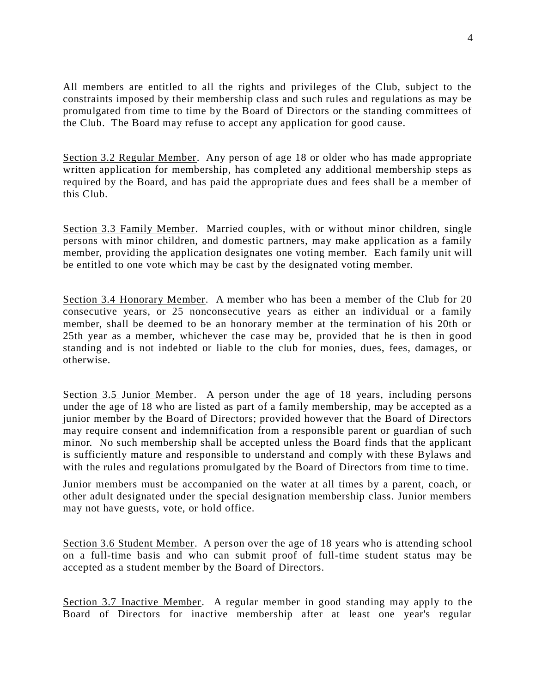All members are entitled to all the rights and privileges of the Club, subject to the constraints imposed by their membership class and such rules and regulations as may be promulgated from time to time by the Board of Directors or the standing committees of the Club. The Board may refuse to accept any application for good cause.

Section 3.2 Regular Member. Any person of age 18 or older who has made appropriate written application for membership, has completed any additional membership steps as required by the Board, and has paid the appropriate dues and fees shall be a member of this Club.

Section 3.3 Family Member. Married couples, with or without minor children, single persons with minor children, and domestic partners, may make application as a family member, providing the application designates one voting member. Each family unit will be entitled to one vote which may be cast by the designated voting member.

Section 3.4 Honorary Member. A member who has been a member of the Club for 20 consecutive years, or 25 nonconsecutive years as either an individual or a family member, shall be deemed to be an honorary member at the termination of his 20th or 25th year as a member, whichever the case may be, provided that he is then in good standing and is not indebted or liable to the club for monies, dues, fees, damages, or otherwise.

Section 3.5 Junior Member. A person under the age of 18 years, including persons under the age of 18 who are listed as part of a family membership, may be accepted as a junior member by the Board of Directors; provided however that the Board of Directors may require consent and indemnification from a responsible parent or guardian of such minor. No such membership shall be accepted unless the Board finds that the applicant is sufficiently mature and responsible to understand and comply with these Bylaws and with the rules and regulations promulgated by the Board of Directors from time to time.

Junior members must be accompanied on the water at all times by a parent, coach, or other adult designated under the special designation membership class. Junior members may not have guests, vote, or hold office.

Section 3.6 Student Member. A person over the age of 18 years who is attending school on a full-time basis and who can submit proof of full-time student status may be accepted as a student member by the Board of Directors.

Section 3.7 Inactive Member. A regular member in good standing may apply to the Board of Directors for inactive membership after at least one year's regular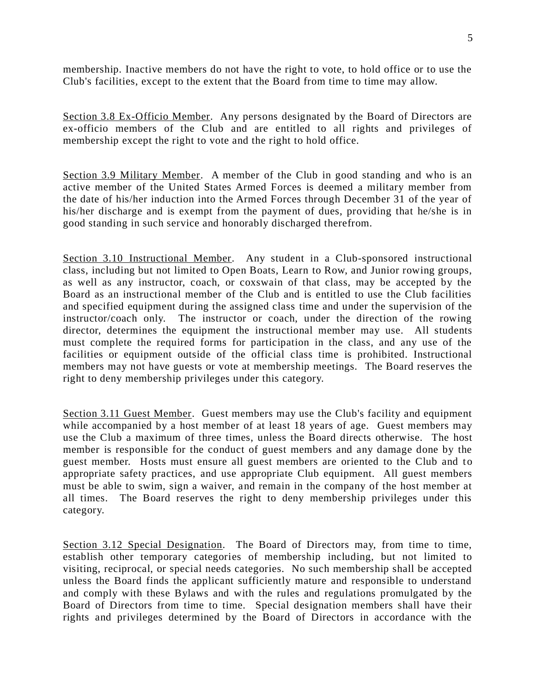membership. Inactive members do not have the right to vote, to hold office or to use the Club's facilities, except to the extent that the Board from time to time may allow.

Section 3.8 Ex-Officio Member. Any persons designated by the Board of Directors are ex-officio members of the Club and are entitled to all rights and privileges of membership except the right to vote and the right to hold office.

Section 3.9 Military Member. A member of the Club in good standing and who is an active member of the United States Armed Forces is deemed a military member from the date of his/her induction into the Armed Forces through December 31 of the year of his/her discharge and is exempt from the payment of dues, providing that he/she is in good standing in such service and honorably discharged therefrom.

Section 3.10 Instructional Member. Any student in a Club-sponsored instructional class, including but not limited to Open Boats, Learn to Row, and Junior rowing groups, as well as any instructor, coach, or coxswain of that class, may be accepted by the Board as an instructional member of the Club and is entitled to use the Club facilities and specified equipment during the assigned class time and under the supervision of the instructor/coach only. The instructor or coach, under the direction of the rowing director, determines the equipment the instructional member may use. All students must complete the required forms for participation in the class, and any use of the facilities or equipment outside of the official class time is prohibited. Instructional members may not have guests or vote at membership meetings. The Board reserves the right to deny membership privileges under this category.

Section 3.11 Guest Member. Guest members may use the Club's facility and equipment while accompanied by a host member of at least 18 years of age. Guest members may use the Club a maximum of three times, unless the Board directs otherwise. The host member is responsible for the conduct of guest members and any damage done by the guest member. Hosts must ensure all guest members are oriented to the Club and to appropriate safety practices, and use appropriate Club equipment. All guest members must be able to swim, sign a waiver, and remain in the company of the host member at all times. The Board reserves the right to deny membership privileges under this category.

Section 3.12 Special Designation. The Board of Directors may, from time to time, establish other temporary categories of membership including, but not limited to visiting, reciprocal, or special needs categories. No such membership shall be accepted unless the Board finds the applicant sufficiently mature and responsible to understand and comply with these Bylaws and with the rules and regulations promulgated by the Board of Directors from time to time. Special designation members shall have their rights and privileges determined by the Board of Directors in accordance with the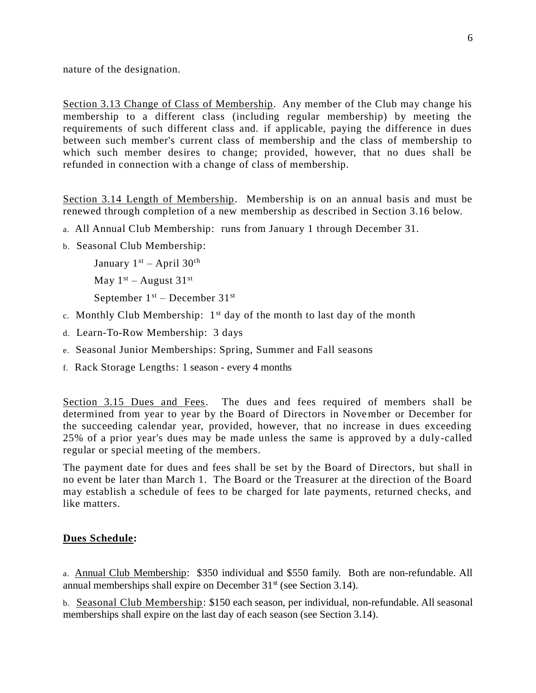nature of the designation.

Section 3.13 Change of Class of Membership. Any member of the Club may change his membership to a different class (including regular membership) by meeting the requirements of such different class and. if applicable, paying the difference in dues between such member's current class of membership and the class of membership to which such member desires to change; provided, however, that no dues shall be refunded in connection with a change of class of membership.

Section 3.14 Length of Membership. Membership is on an annual basis and must be renewed through completion of a new membership as described in Section 3.16 below.

- a. All Annual Club Membership: runs from January 1 through December 31.
- b. Seasonal Club Membership:

January  $1<sup>st</sup>$  – April 30<sup>th</sup> May  $1^{st}$  – August  $31^{st}$ 

September  $1<sup>st</sup>$  – December  $31<sup>st</sup>$ 

- c. Monthly Club Membership:  $1<sup>st</sup>$  day of the month to last day of the month
- d. Learn-To-Row Membership: 3 days
- e. Seasonal Junior Memberships: Spring, Summer and Fall seasons
- f. Rack Storage Lengths: 1 season every 4 months

Section 3.15 Dues and Fees. The dues and fees required of members shall be determined from year to year by the Board of Directors in November or December for the succeeding calendar year, provided, however, that no increase in dues exceeding 25% of a prior year's dues may be made unless the same is approved by a duly-called regular or special meeting of the members.

The payment date for dues and fees shall be set by the Board of Directors, but shall in no event be later than March 1. The Board or the Treasurer at the direction of the Board may establish a schedule of fees to be charged for late payments, returned checks, and like matters.

#### **Dues Schedule:**

a. Annual Club Membership: \$350 individual and \$550 family. Both are non-refundable. All annual memberships shall expire on December  $31<sup>st</sup>$  (see Section 3.14).

b. Seasonal Club Membership: \$150 each season, per individual, non-refundable. All seasonal memberships shall expire on the last day of each season (see Section 3.14).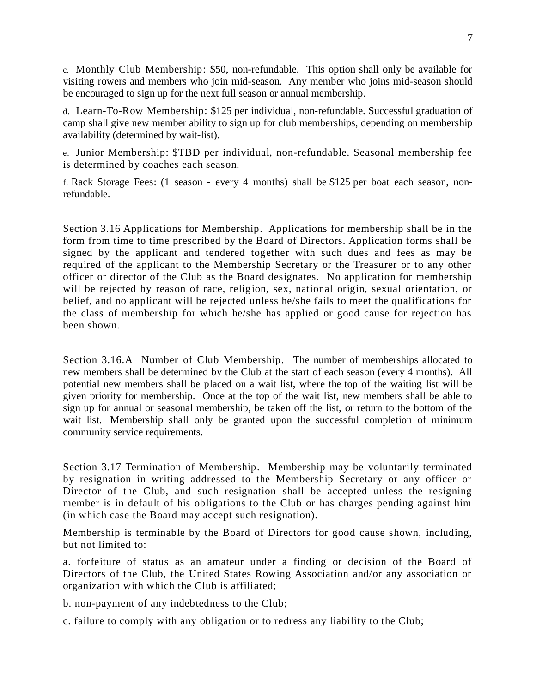c. Monthly Club Membership: \$50, non-refundable. This option shall only be available for visiting rowers and members who join mid-season. Any member who joins mid-season should be encouraged to sign up for the next full season or annual membership.

d. Learn-To-Row Membership: \$125 per individual, non-refundable. Successful graduation of camp shall give new member ability to sign up for club memberships, depending on membership availability (determined by wait-list).

e. Junior Membership: \$TBD per individual, non-refundable. Seasonal membership fee is determined by coaches each season.

f. Rack Storage Fees: (1 season - every 4 months) shall be \$125 per boat each season, nonrefundable.

Section 3.16 Applications for Membership. Applications for membership shall be in the form from time to time prescribed by the Board of Directors. Application forms shall be signed by the applicant and tendered together with such dues and fees as may be required of the applicant to the Membership Secretary or the Treasurer or to any other officer or director of the Club as the Board designates. No application for membership will be rejected by reason of race, religion, sex, national origin, sexual orientation, or belief, and no applicant will be rejected unless he/she fails to meet the qualifications for the class of membership for which he/she has applied or good cause for rejection has been shown.

Section 3.16.A Number of Club Membership. The number of memberships allocated to new members shall be determined by the Club at the start of each season (every 4 months). All potential new members shall be placed on a wait list, where the top of the waiting list will be given priority for membership. Once at the top of the wait list, new members shall be able to sign up for annual or seasonal membership, be taken off the list, or return to the bottom of the wait list. Membership shall only be granted upon the successful completion of minimum community service requirements.

Section 3.17 Termination of Membership. Membership may be voluntarily terminated by resignation in writing addressed to the Membership Secretary or any officer or Director of the Club, and such resignation shall be accepted unless the resigning member is in default of his obligations to the Club or has charges pending against him (in which case the Board may accept such resignation).

Membership is terminable by the Board of Directors for good cause shown, including, but not limited to:

a. forfeiture of status as an amateur under a finding or decision of the Board of Directors of the Club, the United States Rowing Association and/or any association or organization with which the Club is affiliated;

b. non-payment of any indebtedness to the Club;

c. failure to comply with any obligation or to redress any liability to the Club;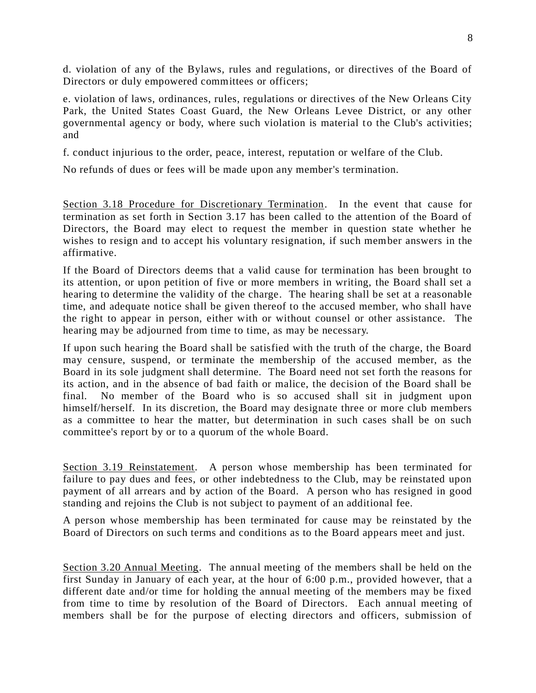d. violation of any of the Bylaws, rules and regulations, or directives of the Board of Directors or duly empowered committees or officers;

e. violation of laws, ordinances, rules, regulations or directives of the New Orleans City Park, the United States Coast Guard, the New Orleans Levee District, or any other governmental agency or body, where such violation is material to the Club's activities; and

f. conduct injurious to the order, peace, interest, reputation or welfare of the Club.

No refunds of dues or fees will be made upon any member's termination.

Section 3.18 Procedure for Discretionary Termination. In the event that cause for termination as set forth in Section 3.17 has been called to the attention of the Board of Directors, the Board may elect to request the member in question state whether he wishes to resign and to accept his voluntary resignation, if such member answers in the affirmative.

If the Board of Directors deems that a valid cause for termination has been brought to its attention, or upon petition of five or more members in writing, the Board shall set a hearing to determine the validity of the charge. The hearing shall be set at a reasonable time, and adequate notice shall be given thereof to the accused member, who shall have the right to appear in person, either with or without counsel or other assistance. The hearing may be adjourned from time to time, as may be necessary.

If upon such hearing the Board shall be satisfied with the truth of the charge, the Board may censure, suspend, or terminate the membership of the accused member, as the Board in its sole judgment shall determine. The Board need not set forth the reasons for its action, and in the absence of bad faith or malice, the decision of the Board shall be final. No member of the Board who is so accused shall sit in judgment upon himself/herself. In its discretion, the Board may designate three or more club members as a committee to hear the matter, but determination in such cases shall be on such committee's report by or to a quorum of the whole Board.

Section 3.19 Reinstatement. A person whose membership has been terminated for failure to pay dues and fees, or other indebtedness to the Club, may be reinstated upon payment of all arrears and by action of the Board. A person who has resigned in good standing and rejoins the Club is not subject to payment of an additional fee.

A person whose membership has been terminated for cause may be reinstated by the Board of Directors on such terms and conditions as to the Board appears meet and just.

Section 3.20 Annual Meeting. The annual meeting of the members shall be held on the first Sunday in January of each year, at the hour of 6:00 p.m., provided however, that a different date and/or time for holding the annual meeting of the members may be fixed from time to time by resolution of the Board of Directors. Each annual meeting of members shall be for the purpose of electing directors and officers, submission of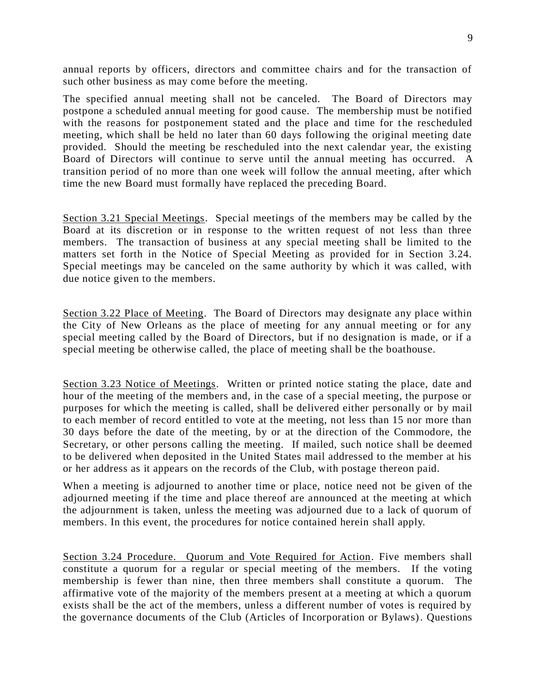annual reports by officers, directors and committee chairs and for the transaction of such other business as may come before the meeting.

The specified annual meeting shall not be canceled. The Board of Directors may postpone a scheduled annual meeting for good cause. The membership must be notified with the reasons for postponement stated and the place and time for the rescheduled meeting, which shall be held no later than 60 days following the original meeting date provided. Should the meeting be rescheduled into the next calendar year, the existing Board of Directors will continue to serve until the annual meeting has occurred. A transition period of no more than one week will follow the annual meeting, after which time the new Board must formally have replaced the preceding Board.

Section 3.21 Special Meetings. Special meetings of the members may be called by the Board at its discretion or in response to the written request of not less than three members. The transaction of business at any special meeting shall be limited to the matters set forth in the Notice of Special Meeting as provided for in Section 3.24. Special meetings may be canceled on the same authority by which it was called, with due notice given to the members.

Section 3.22 Place of Meeting. The Board of Directors may designate any place within the City of New Orleans as the place of meeting for any annual meeting or for any special meeting called by the Board of Directors, but if no designation is made, or if a special meeting be otherwise called, the place of meeting shall be the boathouse.

Section 3.23 Notice of Meetings. Written or printed notice stating the place, date and hour of the meeting of the members and, in the case of a special meeting, the purpose or purposes for which the meeting is called, shall be delivered either personally or by mail to each member of record entitled to vote at the meeting, not less than 15 nor more than 30 days before the date of the meeting, by or at the direction of the Commodore, the Secretary, or other persons calling the meeting. If mailed, such notice shall be deemed to be delivered when deposited in the United States mail addressed to the member at his or her address as it appears on the records of the Club, with postage thereon paid.

When a meeting is adjourned to another time or place, notice need not be given of the adjourned meeting if the time and place thereof are announced at the meeting at which the adjournment is taken, unless the meeting was adjourned due to a lack of quorum of members. In this event, the procedures for notice contained herein shall apply.

Section 3.24 Procedure. Quorum and Vote Required for Action. Five members shall constitute a quorum for a regular or special meeting of the members. If the voting membership is fewer than nine, then three members shall constitute a quorum. The affirmative vote of the majority of the members present at a meeting at which a quorum exists shall be the act of the members, unless a different number of votes is required by the governance documents of the Club (Articles of Incorporation or Bylaws). Questions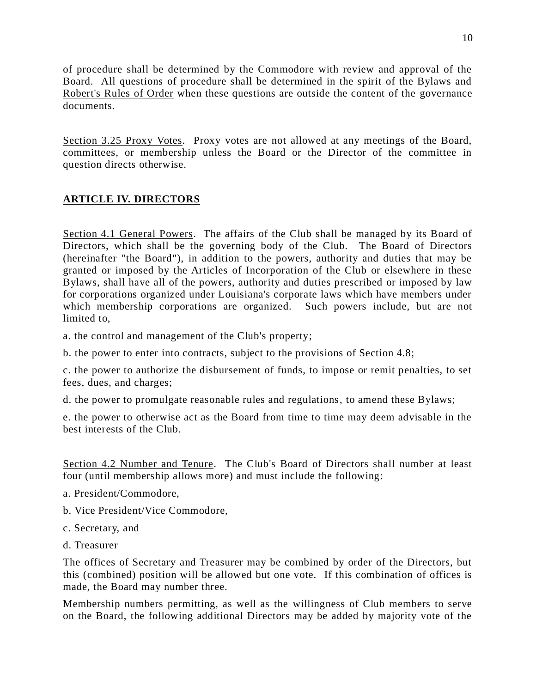of procedure shall be determined by the Commodore with review and approval of the Board. All questions of procedure shall be determined in the spirit of the Bylaws and Robert's Rules of Order when these questions are outside the content of the governance documents.

Section 3.25 Proxy Votes. Proxy votes are not allowed at any meetings of the Board, committees, or membership unless the Board or the Director of the committee in question directs otherwise.

# **ARTICLE IV. DIRECTORS**

Section 4.1 General Powers. The affairs of the Club shall be managed by its Board of Directors, which shall be the governing body of the Club. The Board of Directors (hereinafter "the Board"), in addition to the powers, authority and duties that may be granted or imposed by the Articles of Incorporation of the Club or elsewhere in these Bylaws, shall have all of the powers, authority and duties prescribed or imposed by law for corporations organized under Louisiana's corporate laws which have members under which membership corporations are organized. Such powers include, but are not limited to,

a. the control and management of the Club's property;

b. the power to enter into contracts, subject to the provisions of Section 4.8;

c. the power to authorize the disbursement of funds, to impose or remit penalties, to set fees, dues, and charges;

d. the power to promulgate reasonable rules and regulations, to amend these Bylaws;

e. the power to otherwise act as the Board from time to time may deem advisable in the best interests of the Club.

Section 4.2 Number and Tenure. The Club's Board of Directors shall number at least four (until membership allows more) and must include the following:

- a. President/Commodore,
- b. Vice President/Vice Commodore,
- c. Secretary, and
- d. Treasurer

The offices of Secretary and Treasurer may be combined by order of the Directors, but this (combined) position will be allowed but one vote. If this combination of offices is made, the Board may number three.

Membership numbers permitting, as well as the willingness of Club members to serve on the Board, the following additional Directors may be added by majority vote of the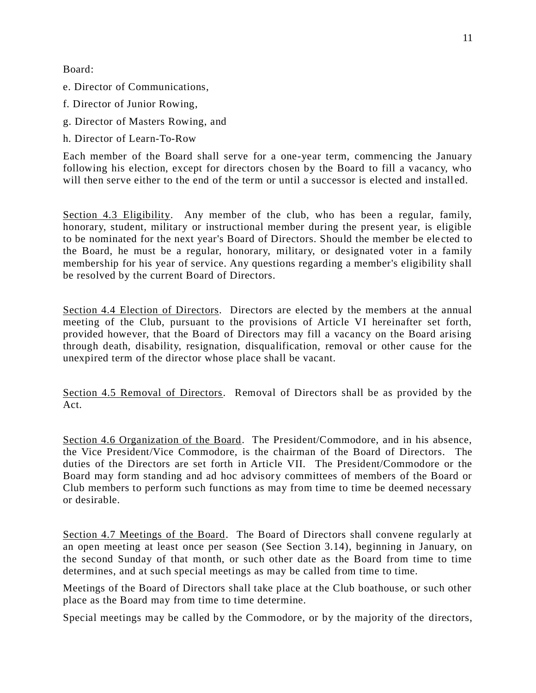Board:

- e. Director of Communications,
- f. Director of Junior Rowing,
- g. Director of Masters Rowing, and
- h. Director of Learn-To-Row

Each member of the Board shall serve for a one-year term, commencing the January following his election, except for directors chosen by the Board to fill a vacancy, who will then serve either to the end of the term or until a successor is elected and installed.

Section 4.3 Eligibility. Any member of the club, who has been a regular, family, honorary, student, military or instructional member during the present year, is eligible to be nominated for the next year's Board of Directors. Should the member be ele cted to the Board, he must be a regular, honorary, military, or designated voter in a family membership for his year of service. Any questions regarding a member's eligibility shall be resolved by the current Board of Directors.

Section 4.4 Election of Directors. Directors are elected by the members at the annual meeting of the Club, pursuant to the provisions of Article VI hereinafter set forth, provided however, that the Board of Directors may fill a vacancy on the Board arising through death, disability, resignation, disqualification, removal or other cause for the unexpired term of the director whose place shall be vacant.

Section 4.5 Removal of Directors. Removal of Directors shall be as provided by the Act.

Section 4.6 Organization of the Board. The President/Commodore, and in his absence, the Vice President/Vice Commodore, is the chairman of the Board of Directors. The duties of the Directors are set forth in Article VII. The President/Commodore or the Board may form standing and ad hoc advisory committees of members of the Board or Club members to perform such functions as may from time to time be deemed necessary or desirable.

Section 4.7 Meetings of the Board. The Board of Directors shall convene regularly at an open meeting at least once per season (See Section 3.14), beginning in January, on the second Sunday of that month, or such other date as the Board from time to time determines, and at such special meetings as may be called from time to time.

Meetings of the Board of Directors shall take place at the Club boathouse, or such other place as the Board may from time to time determine.

Special meetings may be called by the Commodore, or by the majority of the directors,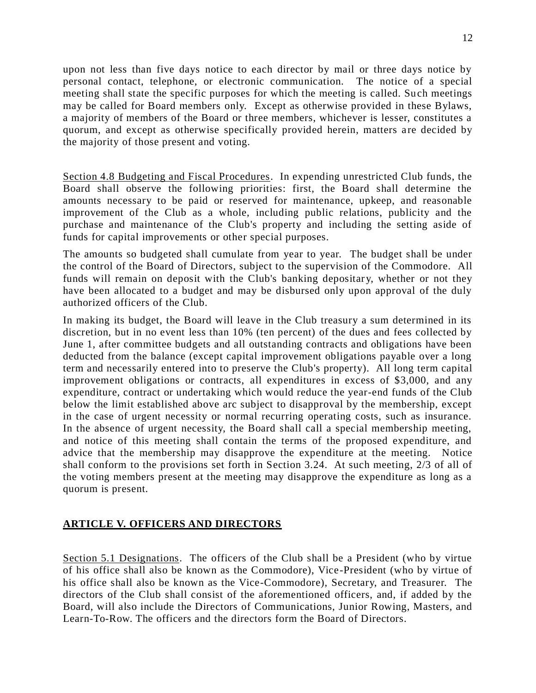upon not less than five days notice to each director by mail or three days notice by personal contact, telephone, or electronic communication. The notice of a special meeting shall state the specific purposes for which the meeting is called. Such meetings may be called for Board members only. Except as otherwise provided in these Bylaws, a majority of members of the Board or three members, whichever is lesser, constitutes a quorum, and except as otherwise specifically provided herein, matters are decided by the majority of those present and voting.

Section 4.8 Budgeting and Fiscal Procedures. In expending unrestricted Club funds, the Board shall observe the following priorities: first, the Board shall determine the amounts necessary to be paid or reserved for maintenance, upkeep, and reasonable improvement of the Club as a whole, including public relations, publicity and the purchase and maintenance of the Club's property and including the setting aside of funds for capital improvements or other special purposes.

The amounts so budgeted shall cumulate from year to year. The budget shall be under the control of the Board of Directors, subject to the supervision of the Commodore. All funds will remain on deposit with the Club's banking depositary, whether or not they have been allocated to a budget and may be disbursed only upon approval of the duly authorized officers of the Club.

In making its budget, the Board will leave in the Club treasury a sum determined in its discretion, but in no event less than 10% (ten percent) of the dues and fees collected by June 1, after committee budgets and all outstanding contracts and obligations have been deducted from the balance (except capital improvement obligations payable over a long term and necessarily entered into to preserve the Club's property). All long term capital improvement obligations or contracts, all expenditures in excess of \$3,000, and any expenditure, contract or undertaking which would reduce the year-end funds of the Club below the limit established above arc subject to disapproval by the membership, except in the case of urgent necessity or normal recurring operating costs, such as insurance. In the absence of urgent necessity, the Board shall call a special membership meeting, and notice of this meeting shall contain the terms of the proposed expenditure, and advice that the membership may disapprove the expenditure at the meeting. Notice shall conform to the provisions set forth in Section 3.24. At such meeting, 2/3 of all of the voting members present at the meeting may disapprove the expenditure as long as a quorum is present.

### **ARTICLE V. OFFICERS AND DIRECTORS**

Section 5.1 Designations. The officers of the Club shall be a President (who by virtue of his office shall also be known as the Commodore), Vice-President (who by virtue of his office shall also be known as the Vice-Commodore), Secretary, and Treasurer. The directors of the Club shall consist of the aforementioned officers, and, if added by the Board, will also include the Directors of Communications, Junior Rowing, Masters, and Learn-To-Row. The officers and the directors form the Board of Directors.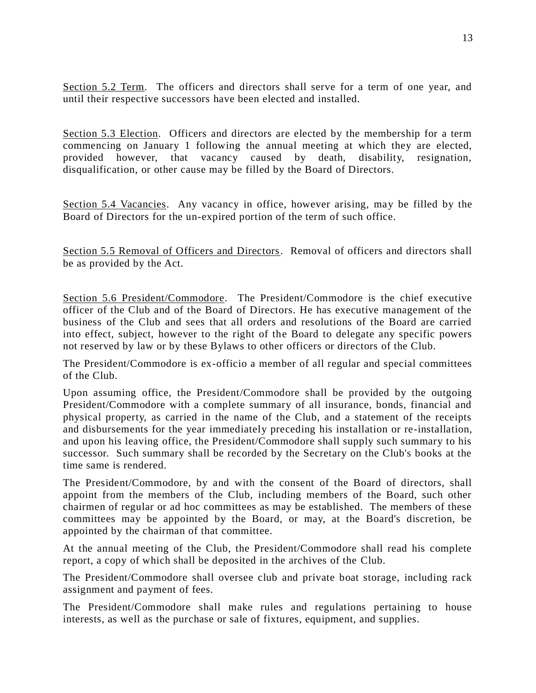Section 5.2 Term. The officers and directors shall serve for a term of one year, and until their respective successors have been elected and installed.

Section 5.3 Election. Officers and directors are elected by the membership for a term commencing on January 1 following the annual meeting at which they are elected, provided however, that vacancy caused by death, disability, resignation, disqualification, or other cause may be filled by the Board of Directors.

Section 5.4 Vacancies. Any vacancy in office, however arising, may be filled by the Board of Directors for the un-expired portion of the term of such office.

Section 5.5 Removal of Officers and Directors. Removal of officers and directors shall be as provided by the Act.

Section 5.6 President/Commodore. The President/Commodore is the chief executive officer of the Club and of the Board of Directors. He has executive management of the business of the Club and sees that all orders and resolutions of the Board are carried into effect, subject, however to the right of the Board to delegate any specific powers not reserved by law or by these Bylaws to other officers or directors of the Club.

The President/Commodore is ex-officio a member of all regular and special committees of the Club.

Upon assuming office, the President/Commodore shall be provided by the outgoing President/Commodore with a complete summary of all insurance, bonds, financial and physical property, as carried in the name of the Club, and a statement of the receipts and disbursements for the year immediately preceding his installation or re-installation, and upon his leaving office, the President/Commodore shall supply such summary to his successor. Such summary shall be recorded by the Secretary on the Club's books at the time same is rendered.

The President/Commodore, by and with the consent of the Board of directors, shall appoint from the members of the Club, including members of the Board, such other chairmen of regular or ad hoc committees as may be established. The members of these committees may be appointed by the Board, or may, at the Board's discretion, be appointed by the chairman of that committee.

At the annual meeting of the Club, the President/Commodore shall read his complete report, a copy of which shall be deposited in the archives of the Club.

The President/Commodore shall oversee club and private boat storage, including rack assignment and payment of fees.

The President/Commodore shall make rules and regulations pertaining to house interests, as well as the purchase or sale of fixtures, equipment, and supplies.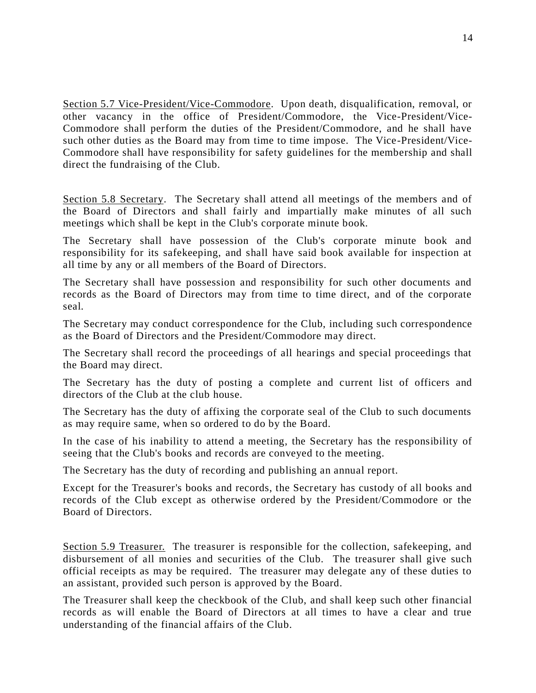Section 5.7 Vice-President/Vice-Commodore. Upon death, disqualification, removal, or other vacancy in the office of President/Commodore, the Vice-President/Vice-Commodore shall perform the duties of the President/Commodore, and he shall have such other duties as the Board may from time to time impose. The Vice-President/Vice-Commodore shall have responsibility for safety guidelines for the membership and shall direct the fundraising of the Club.

Section 5.8 Secretary. The Secretary shall attend all meetings of the members and of the Board of Directors and shall fairly and impartially make minutes of all such meetings which shall be kept in the Club's corporate minute book.

The Secretary shall have possession of the Club's corporate minute book and responsibility for its safekeeping, and shall have said book available for inspection at all time by any or all members of the Board of Directors.

The Secretary shall have possession and responsibility for such other documents and records as the Board of Directors may from time to time direct, and of the corporate seal.

The Secretary may conduct correspondence for the Club, including such correspondence as the Board of Directors and the President/Commodore may direct.

The Secretary shall record the proceedings of all hearings and special proceedings that the Board may direct.

The Secretary has the duty of posting a complete and current list of officers and directors of the Club at the club house.

The Secretary has the duty of affixing the corporate seal of the Club to such documents as may require same, when so ordered to do by the Board.

In the case of his inability to attend a meeting, the Secretary has the responsibility of seeing that the Club's books and records are conveyed to the meeting.

The Secretary has the duty of recording and publishing an annual report.

Except for the Treasurer's books and records, the Secretary has custody of all books and records of the Club except as otherwise ordered by the President/Commodore or the Board of Directors.

Section 5.9 Treasurer. The treasurer is responsible for the collection, safekeeping, and disbursement of all monies and securities of the Club. The treasurer shall give such official receipts as may be required. The treasurer may delegate any of these duties to an assistant, provided such person is approved by the Board.

The Treasurer shall keep the checkbook of the Club, and shall keep such other financial records as will enable the Board of Directors at all times to have a clear and true understanding of the financial affairs of the Club.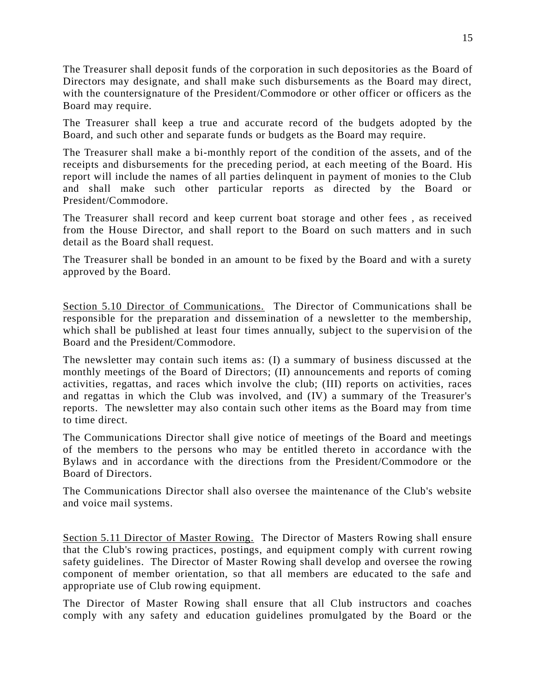The Treasurer shall deposit funds of the corporation in such depositories as the Board of Directors may designate, and shall make such disbursements as the Board may direct, with the countersignature of the President/Commodore or other officer or officers as the Board may require.

The Treasurer shall keep a true and accurate record of the budgets adopted by the Board, and such other and separate funds or budgets as the Board may require.

The Treasurer shall make a bi-monthly report of the condition of the assets, and of the receipts and disbursements for the preceding period, at each meeting of the Board. His report will include the names of all parties delinquent in payment of monies to the Club and shall make such other particular reports as directed by the Board or President/Commodore.

The Treasurer shall record and keep current boat storage and other fees , as received from the House Director, and shall report to the Board on such matters and in such detail as the Board shall request.

The Treasurer shall be bonded in an amount to be fixed by the Board and with a surety approved by the Board.

Section 5.10 Director of Communications. The Director of Communications shall be responsible for the preparation and dissemination of a newsletter to the membership, which shall be published at least four times annually, subject to the supervision of the Board and the President/Commodore.

The newsletter may contain such items as: (I) a summary of business discussed at the monthly meetings of the Board of Directors; (II) announcements and reports of coming activities, regattas, and races which involve the club; (III) reports on activities, races and regattas in which the Club was involved, and (IV) a summary of the Treasurer's reports. The newsletter may also contain such other items as the Board may from time to time direct.

The Communications Director shall give notice of meetings of the Board and meetings of the members to the persons who may be entitled thereto in accordance with the Bylaws and in accordance with the directions from the President/Commodore or the Board of Directors.

The Communications Director shall also oversee the maintenance of the Club's website and voice mail systems.

Section 5.11 Director of Master Rowing. The Director of Masters Rowing shall ensure that the Club's rowing practices, postings, and equipment comply with current rowing safety guidelines. The Director of Master Rowing shall develop and oversee the rowing component of member orientation, so that all members are educated to the safe and appropriate use of Club rowing equipment.

The Director of Master Rowing shall ensure that all Club instructors and coaches comply with any safety and education guidelines promulgated by the Board or the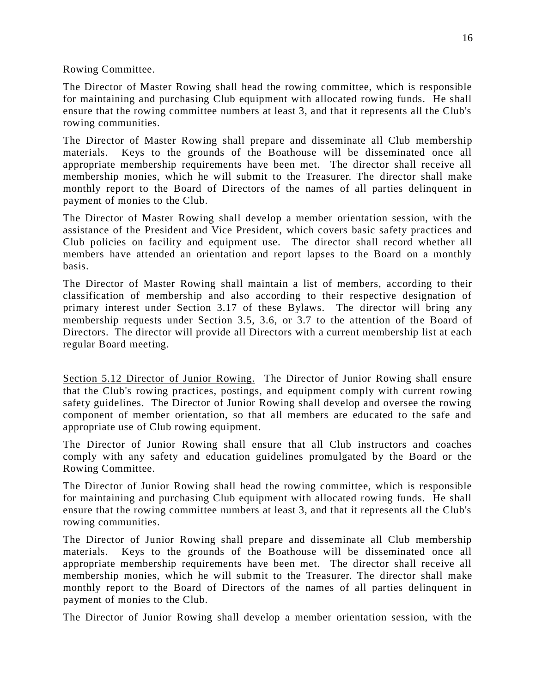Rowing Committee.

The Director of Master Rowing shall head the rowing committee, which is responsible for maintaining and purchasing Club equipment with allocated rowing funds. He shall ensure that the rowing committee numbers at least 3, and that it represents all the Club's rowing communities.

The Director of Master Rowing shall prepare and disseminate all Club membership materials. Keys to the grounds of the Boathouse will be disseminated once all appropriate membership requirements have been met. The director shall receive all membership monies, which he will submit to the Treasurer. The director shall make monthly report to the Board of Directors of the names of all parties delinquent in payment of monies to the Club.

The Director of Master Rowing shall develop a member orientation session, with the assistance of the President and Vice President, which covers basic safety practices and Club policies on facility and equipment use. The director shall record whether all members have attended an orientation and report lapses to the Board on a monthly basis.

The Director of Master Rowing shall maintain a list of members, according to their classification of membership and also according to their respective designation of primary interest under Section 3.17 of these Bylaws. The director will bring any membership requests under Section 3.5, 3.6, or 3.7 to the attention of the Board of Directors. The director will provide all Directors with a current membership list at each regular Board meeting.

Section 5.12 Director of Junior Rowing. The Director of Junior Rowing shall ensure that the Club's rowing practices, postings, and equipment comply with current rowing safety guidelines. The Director of Junior Rowing shall develop and oversee the rowing component of member orientation, so that all members are educated to the safe and appropriate use of Club rowing equipment.

The Director of Junior Rowing shall ensure that all Club instructors and coaches comply with any safety and education guidelines promulgated by the Board or the Rowing Committee.

The Director of Junior Rowing shall head the rowing committee, which is responsible for maintaining and purchasing Club equipment with allocated rowing funds. He shall ensure that the rowing committee numbers at least 3, and that it represents all the Club's rowing communities.

The Director of Junior Rowing shall prepare and disseminate all Club membership materials. Keys to the grounds of the Boathouse will be disseminated once all appropriate membership requirements have been met. The director shall receive all membership monies, which he will submit to the Treasurer. The director shall make monthly report to the Board of Directors of the names of all parties delinquent in payment of monies to the Club.

The Director of Junior Rowing shall develop a member orientation session, with the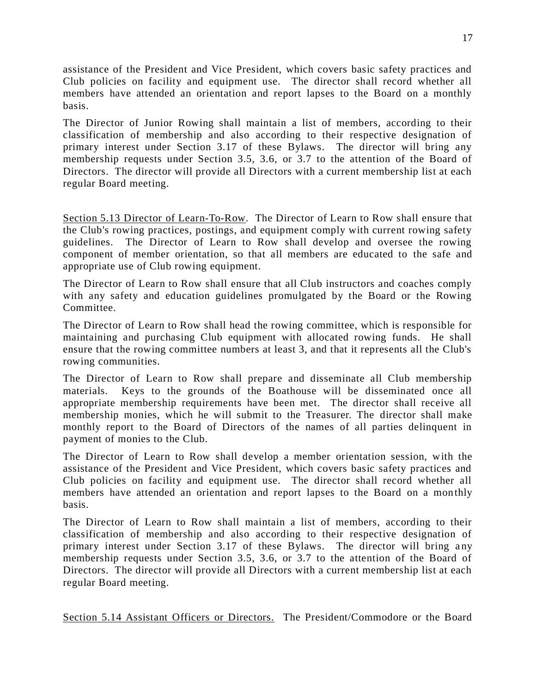assistance of the President and Vice President, which covers basic safety practices and Club policies on facility and equipment use. The director shall record whether all members have attended an orientation and report lapses to the Board on a monthly basis.

The Director of Junior Rowing shall maintain a list of members, according to their classification of membership and also according to their respective designation of primary interest under Section 3.17 of these Bylaws. The director will bring any membership requests under Section 3.5, 3.6, or 3.7 to the attention of the Board of Directors. The director will provide all Directors with a current membership list at each regular Board meeting.

Section 5.13 Director of Learn-To-Row. The Director of Learn to Row shall ensure that the Club's rowing practices, postings, and equipment comply with current rowing safety guidelines. The Director of Learn to Row shall develop and oversee the rowing component of member orientation, so that all members are educated to the safe and appropriate use of Club rowing equipment.

The Director of Learn to Row shall ensure that all Club instructors and coaches comply with any safety and education guidelines promulgated by the Board or the Rowing Committee.

The Director of Learn to Row shall head the rowing committee, which is responsible for maintaining and purchasing Club equipment with allocated rowing funds. He shall ensure that the rowing committee numbers at least 3, and that it represents all the Club's rowing communities.

The Director of Learn to Row shall prepare and disseminate all Club membership materials. Keys to the grounds of the Boathouse will be disseminated once all appropriate membership requirements have been met. The director shall receive all membership monies, which he will submit to the Treasurer. The director shall make monthly report to the Board of Directors of the names of all parties delinquent in payment of monies to the Club.

The Director of Learn to Row shall develop a member orientation session, with the assistance of the President and Vice President, which covers basic safety practices and Club policies on facility and equipment use. The director shall record whether all members have attended an orientation and report lapses to the Board on a monthly basis.

The Director of Learn to Row shall maintain a list of members, according to their classification of membership and also according to their respective designation of primary interest under Section 3.17 of these Bylaws. The director will bring any membership requests under Section 3.5, 3.6, or 3.7 to the attention of the Board of Directors. The director will provide all Directors with a current membership list at each regular Board meeting.

Section 5.14 Assistant Officers or Directors. The President/Commodore or the Board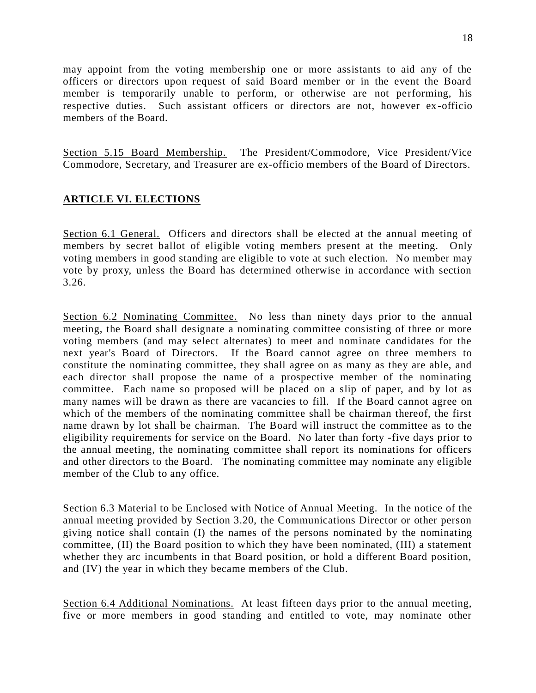may appoint from the voting membership one or more assistants to aid any of the officers or directors upon request of said Board member or in the event the Board member is temporarily unable to perform, or otherwise are not performing, his respective duties. Such assistant officers or directors are not, however ex -officio members of the Board.

Section 5.15 Board Membership. The President/Commodore, Vice President/Vice Commodore, Secretary, and Treasurer are ex-officio members of the Board of Directors.

## **ARTICLE VI. ELECTIONS**

Section 6.1 General. Officers and directors shall be elected at the annual meeting of members by secret ballot of eligible voting members present at the meeting. Only voting members in good standing are eligible to vote at such election. No member may vote by proxy, unless the Board has determined otherwise in accordance with section 3.26.

Section 6.2 Nominating Committee. No less than ninety days prior to the annual meeting, the Board shall designate a nominating committee consisting of three or more voting members (and may select alternates) to meet and nominate candidates for the next year's Board of Directors. If the Board cannot agree on three members to constitute the nominating committee, they shall agree on as many as they are able, and each director shall propose the name of a prospective member of the nominating committee. Each name so proposed will be placed on a slip of paper, and by lot as many names will be drawn as there are vacancies to fill. If the Board cannot agree on which of the members of the nominating committee shall be chairman thereof, the first name drawn by lot shall be chairman. The Board will instruct the committee as to the eligibility requirements for service on the Board. No later than forty -five days prior to the annual meeting, the nominating committee shall report its nominations for officers and other directors to the Board. The nominating committee may nominate any eligible member of the Club to any office.

Section 6.3 Material to be Enclosed with Notice of Annual Meeting. In the notice of the annual meeting provided by Section 3.20, the Communications Director or other person giving notice shall contain (I) the names of the persons nominated by the nominating committee, (II) the Board position to which they have been nominated, (III) a statement whether they arc incumbents in that Board position, or hold a different Board position, and (IV) the year in which they became members of the Club.

Section 6.4 Additional Nominations. At least fifteen days prior to the annual meeting, five or more members in good standing and entitled to vote, may nominate other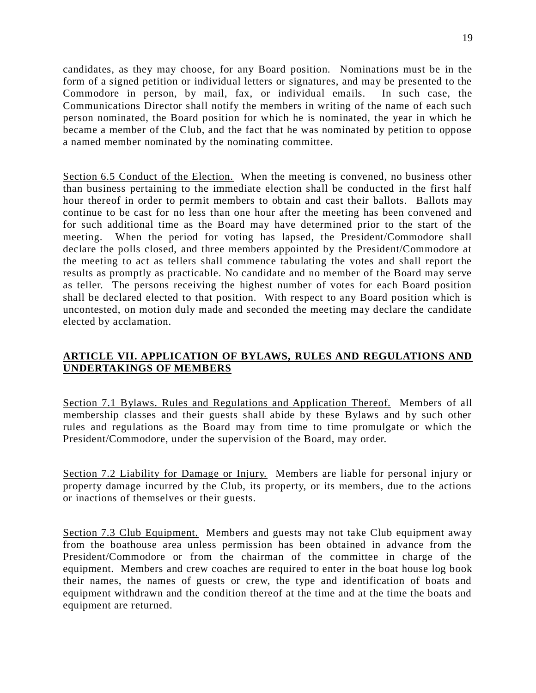candidates, as they may choose, for any Board position. Nominations must be in the form of a signed petition or individual letters or signatures, and may be presented to the Commodore in person, by mail, fax, or individual emails. In such case, the Communications Director shall notify the members in writing of the name of each such person nominated, the Board position for which he is nominated, the year in which he became a member of the Club, and the fact that he was nominated by petition to oppose a named member nominated by the nominating committee.

Section 6.5 Conduct of the Election. When the meeting is convened, no business other than business pertaining to the immediate election shall be conducted in the first half hour thereof in order to permit members to obtain and cast their ballots. Ballots may continue to be cast for no less than one hour after the meeting has been convened and for such additional time as the Board may have determined prior to the start of the meeting. When the period for voting has lapsed, the President/Commodore shall declare the polls closed, and three members appointed by the President/Commodore at the meeting to act as tellers shall commence tabulating the votes and shall report the results as promptly as practicable. No candidate and no member of the Board may serve as teller. The persons receiving the highest number of votes for each Board position shall be declared elected to that position. With respect to any Board position which is uncontested, on motion duly made and seconded the meeting may declare the candidate elected by acclamation.

### **ARTICLE VII. APPLICATION OF BYLAWS, RULES AND REGULATIONS AND UNDERTAKINGS OF MEMBERS**

Section 7.1 Bylaws. Rules and Regulations and Application Thereof. Members of all membership classes and their guests shall abide by these Bylaws and by such other rules and regulations as the Board may from time to time promulgate or which the President/Commodore, under the supervision of the Board, may order.

Section 7.2 Liability for Damage or Injury. Members are liable for personal injury or property damage incurred by the Club, its property, or its members, due to the actions or inactions of themselves or their guests.

Section 7.3 Club Equipment. Members and guests may not take Club equipment away from the boathouse area unless permission has been obtained in advance from the President/Commodore or from the chairman of the committee in charge of the equipment. Members and crew coaches are required to enter in the boat house log book their names, the names of guests or crew, the type and identification of boats and equipment withdrawn and the condition thereof at the time and at the time the boats and equipment are returned.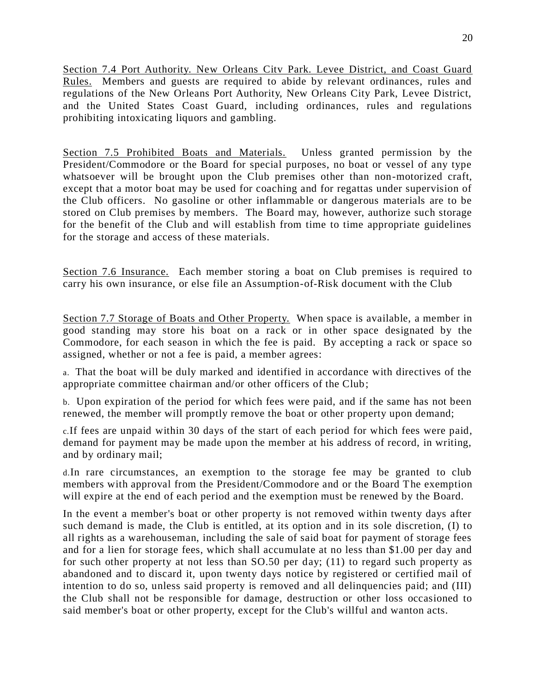Section 7.4 Port Authority. New Orleans Citv Park. Levee District, and Coast Guard Rules. Members and guests are required to abide by relevant ordinances, rules and regulations of the New Orleans Port Authority, New Orleans City Park, Levee District, and the United States Coast Guard, including ordinances, rules and regulations prohibiting intoxicating liquors and gambling.

Section 7.5 Prohibited Boats and Materials. Unless granted permission by the President/Commodore or the Board for special purposes, no boat or vessel of any type whatsoever will be brought upon the Club premises other than non-motorized craft, except that a motor boat may be used for coaching and for regattas under supervision of the Club officers. No gasoline or other inflammable or dangerous materials are to be stored on Club premises by members. The Board may, however, authorize such storage for the benefit of the Club and will establish from time to time appropriate guidelines for the storage and access of these materials.

Section 7.6 Insurance. Each member storing a boat on Club premises is required to carry his own insurance, or else file an Assumption-of-Risk document with the Club

Section 7.7 Storage of Boats and Other Property. When space is available, a member in good standing may store his boat on a rack or in other space designated by the Commodore, for each season in which the fee is paid. By accepting a rack or space so assigned, whether or not a fee is paid, a member agrees:

a. That the boat will be duly marked and identified in accordance with directives of the appropriate committee chairman and/or other officers of the Club;

b. Upon expiration of the period for which fees were paid, and if the same has not been renewed, the member will promptly remove the boat or other property upon demand;

c.If fees are unpaid within 30 days of the start of each period for which fees were paid, demand for payment may be made upon the member at his address of record, in writing, and by ordinary mail;

d.In rare circumstances, an exemption to the storage fee may be granted to club members with approval from the President/Commodore and or the Board The exemption will expire at the end of each period and the exemption must be renewed by the Board.

In the event a member's boat or other property is not removed within twenty days after such demand is made, the Club is entitled, at its option and in its sole discretion, (I) to all rights as a warehouseman, including the sale of said boat for payment of storage fees and for a lien for storage fees, which shall accumulate at no less than \$1.00 per day and for such other property at not less than SO.50 per day; (11) to regard such property as abandoned and to discard it, upon twenty days notice by registered or certified mail of intention to do so, unless said property is removed and all delinquencies paid; and (III) the Club shall not be responsible for damage, destruction or other loss occasioned to said member's boat or other property, except for the Club's willful and wanton acts.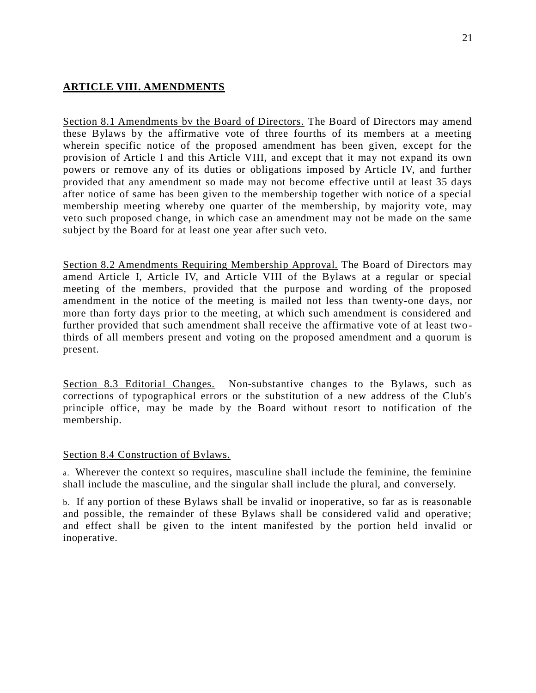### **ARTICLE VIII. AMENDMENTS**

Section 8.1 Amendments bv the Board of Directors. The Board of Directors may amend these Bylaws by the affirmative vote of three fourths of its members at a meeting wherein specific notice of the proposed amendment has been given, except for the provision of Article I and this Article VIII, and except that it may not expand its own powers or remove any of its duties or obligations imposed by Article IV, and further provided that any amendment so made may not become effective until at least 35 days after notice of same has been given to the membership together with notice of a special membership meeting whereby one quarter of the membership, by majority vote, may veto such proposed change, in which case an amendment may not be made on the same subject by the Board for at least one year after such veto.

Section 8.2 Amendments Requiring Membership Approval. The Board of Directors may amend Article I, Article IV, and Article VIII of the Bylaws at a regular or special meeting of the members, provided that the purpose and wording of the proposed amendment in the notice of the meeting is mailed not less than twenty-one days, nor more than forty days prior to the meeting, at which such amendment is considered and further provided that such amendment shall receive the affirmative vote of at least twothirds of all members present and voting on the proposed amendment and a quorum is present.

Section 8.3 Editorial Changes. Non-substantive changes to the Bylaws, such as corrections of typographical errors or the substitution of a new address of the Club's principle office, may be made by the Board without resort to notification of the membership.

#### Section 8.4 Construction of Bylaws.

a. Wherever the context so requires, masculine shall include the feminine, the feminine shall include the masculine, and the singular shall include the plural, and conversely.

b. If any portion of these Bylaws shall be invalid or inoperative, so far as is reasonable and possible, the remainder of these Bylaws shall be considered valid and operative; and effect shall be given to the intent manifested by the portion held invalid or inoperative.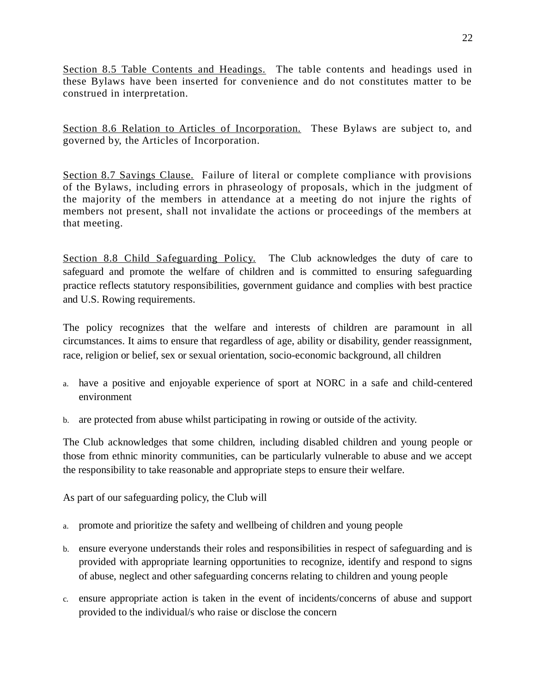Section 8.5 Table Contents and Headings. The table contents and headings used in these Bylaws have been inserted for convenience and do not constitutes matter to be construed in interpretation.

Section 8.6 Relation to Articles of Incorporation. These Bylaws are subject to, and governed by, the Articles of Incorporation.

Section 8.7 Savings Clause. Failure of literal or complete compliance with provisions of the Bylaws, including errors in phraseology of proposals, which in the judgment of the majority of the members in attendance at a meeting do not injure the rights of members not present, shall not invalidate the actions or proceedings of the members at that meeting.

Section 8.8 Child Safeguarding Policy. The Club acknowledges the duty of care to safeguard and promote the welfare of children and is committed to ensuring safeguarding practice reflects statutory responsibilities, government guidance and complies with best practice and U.S. Rowing requirements.

The policy recognizes that the welfare and interests of children are paramount in all circumstances. It aims to ensure that regardless of age, ability or disability, gender reassignment, race, religion or belief, sex or sexual orientation, socio-economic background, all children

- a. have a positive and enjoyable experience of sport at NORC in a safe and child-centered environment
- b. are protected from abuse whilst participating in rowing or outside of the activity.

The Club acknowledges that some children, including disabled children and young people or those from ethnic minority communities, can be particularly vulnerable to abuse and we accept the responsibility to take reasonable and appropriate steps to ensure their welfare.

As part of our safeguarding policy, the Club will

- a. promote and prioritize the safety and wellbeing of children and young people
- b. ensure everyone understands their roles and responsibilities in respect of safeguarding and is provided with appropriate learning opportunities to recognize, identify and respond to signs of abuse, neglect and other safeguarding concerns relating to children and young people
- c. ensure appropriate action is taken in the event of incidents/concerns of abuse and support provided to the individual/s who raise or disclose the concern